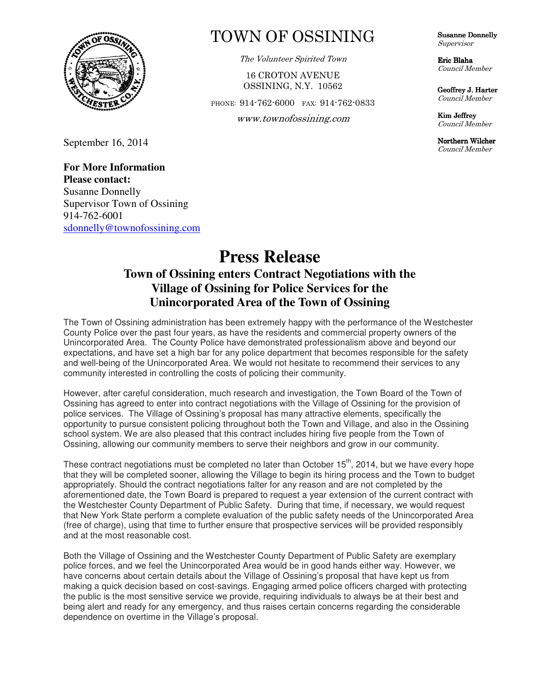

September 16, 2014

## **For More Information Please contact:**  Susanne Donnelly Supervisor Town of Ossining 914-762-6001 sdonnelly@townofossining.com

## TOWN OF OSSINING

The Volunteer Spirited Town

16 CROTON AVENUE OSSINING, N.Y. 10562

PHONE: 914-762-6000 FAX: 914-762-0833

**OS**  www.townofossining.com

Susanne Donnelly Supervisor

Eric Blaha Council Member

Geoffrey J. Harter Council Member

Kim Jeffrey Council Member

Northern Wilcher Council Member

## **Press Release Town of Ossining enters Contract Negotiations with the Village of Ossining for Police Services for the Unincorporated Area of the Town of Ossining**

The Town of Ossining administration has been extremely happy with the performance of the Westchester County Police over the past four years, as have the residents and commercial property owners of the Unincorporated Area. The County Police have demonstrated professionalism above and beyond our expectations, and have set a high bar for any police department that becomes responsible for the safety and well-being of the Unincorporated Area. We would not hesitate to recommend their services to any community interested in controlling the costs of policing their community.

However, after careful consideration, much research and investigation, the Town Board of the Town of Ossining has agreed to enter into contract negotiations with the Village of Ossining for the provision of police services. The Village of Ossining's proposal has many attractive elements, specifically the opportunity to pursue consistent policing throughout both the Town and Village, and also in the Ossining school system. We are also pleased that this contract includes hiring five people from the Town of Ossining, allowing our community members to serve their neighbors and grow in our community.

These contract negotiations must be completed no later than October  $15<sup>th</sup>$ , 2014, but we have every hope that they will be completed sooner, allowing the Village to begin its hiring process and the Town to budget appropriately. Should the contract negotiations falter for any reason and are not completed by the aforementioned date, the Town Board is prepared to request a year extension of the current contract with the Westchester County Department of Public Safety. During that time, if necessary, we would request that New York State perform a complete evaluation of the public safety needs of the Unincorporated Area (free of charge), using that time to further ensure that prospective services will be provided responsibly and at the most reasonable cost.

Both the Village of Ossining and the Westchester County Department of Public Safety are exemplary police forces, and we feel the Unincorporated Area would be in good hands either way. However, we have concerns about certain details about the Village of Ossining's proposal that have kept us from making a quick decision based on cost-savings. Engaging armed police officers charged with protecting the public is the most sensitive service we provide, requiring individuals to always be at their best and being alert and ready for any emergency, and thus raises certain concerns regarding the considerable dependence on overtime in the Village's proposal.